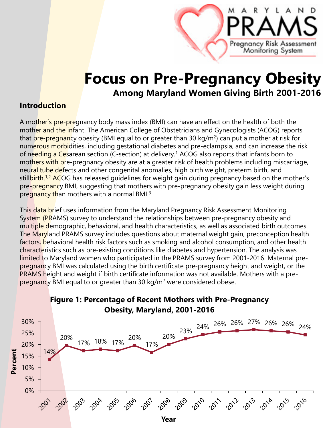# **Focus on Pre-Pregnancy Obesity Among Maryland Women Giving Birth 2001-2016**

Pregnancy Risk Assessment Moniforing System

#### **Introduction**

A mother's pre-pregnancy body mass index (BMI) can have an effect on the health of both the mother and the infant. The American College of Obstetricians and Gynecologists (ACOG) reports that pre-pregnancy obesity (BMI equal to or greater than 30 kg/m<sup>2</sup>) can put a mother at risk for numerous morbidities, including gestational diabetes and pre-eclampsia, and can increase the risk of needing a Cesarean section (C-section) at delivery.1 ACOG also reports that infants born to mothers with pre-pregnancy obesity are at a greater risk of health problems including miscarriage, neural tube defects and other congenital anomalies, high birth weight, preterm birth, and stillbirth.<sup>1,2</sup> ACOG has released guidelines for weight gain during pregnancy based on the mother's pre-pregnancy BMI, suggesting that mothers with pre-pregnancy obesity gain less weight during pregnancy than mothers with a normal BMI.3

This data brief uses information from the Maryland Pregnancy Risk Assessment Monitoring System (PRAMS) survey to understand the relationships between pre-pregnancy obesity and multiple demographic, behavioral, and health characteristics, as well as associated birth outcomes. The Maryland PRAMS survey includes questions about maternal weight gain, preconception health factors, behavioral health risk factors such as smoking and alcohol consumption, and other health characteristics such as pre-existing conditions like diabetes and hypertension. The analysis was limited to Maryland women who participated in the PRAMS survey from 2001-2016. Maternal prepregnancy BMI was calculated using the birth certificate pre-pregnancy height and weight, or the PRAMS height and weight if birth certificate information was not available. Mothers with a prepregnancy BMI equal to or greater than 30 kg/m2 were considered obese.

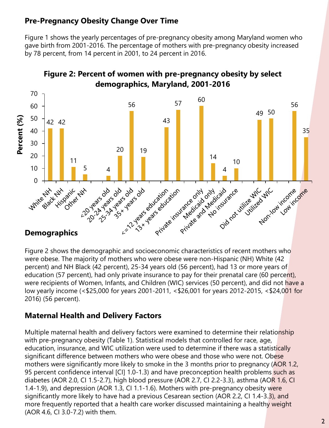## **Pre-Pregnancy Obesity Change Over Time**

Figure 1 shows the yearly percentages of pre-pregnancy obesity among Maryland women who gave birth from 2001-2016. The percentage of mothers with pre-pregnancy obesity increased by 78 percent, from 14 percent in 2001, to 24 percent in 2016.



**Figure 2: Percent of women with pre-pregnancy obesity by select demographics, Maryland, 2001-2016**

#### Figure 2 shows the demographic and socioeconomic characteristics of recent mothers who were obese. The majority of mothers who were obese were non-Hispanic (NH) White (42 percent) and NH Black (42 percent), 25-34 years old (56 percent), had 13 or more years of education (57 percent), had only private insurance to pay for their prenatal care (60 percent), were recipients of Women, Infants, and Children (WIC) services (50 percent), and did not have a low yearly income (<\$25,000 for years 2001-2011, <\$26,001 for years 2012-2015, <\$24,001 for 2016) (56 percent).

#### **Maternal Health and Delivery Factors**

Multiple maternal health and delivery factors were examined to determine their relationship with pre-pregnancy obesity (Table 1). Statistical models that controlled for race, age, education, insurance, and WIC utilization were used to determine if there was a statistically significant difference between mothers who were obese and those who were not. Obese mothers were significantly more likely to smoke in the 3 months prior to pregnancy (AOR 1.2, 95 percent confidence interval [CI] 1.0-1.3) and have preconception health problems such as diabetes (AOR 2.0, CI 1.5-2.7), high blood pressure (AOR 2.7, CI 2.2-3.3), asthma (AOR 1.6, CI 1.4-1.9), and depression (AOR 1.3, CI 1.1-1.6). Mothers with pre-pregnancy obesity were significantly more likely to have had a previous Cesarean section (AOR 2.2, CI 1.4-3.3), and more frequently reported that a health care worker discussed maintaining a healthy weight (AOR 4.6, CI 3.0-7.2) with them.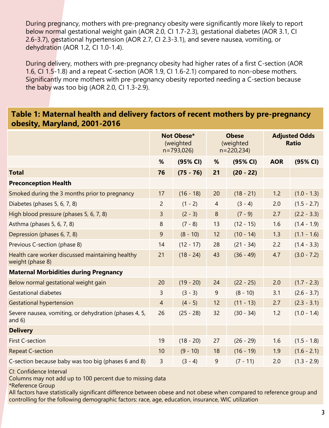During pregnancy, mothers with pre-pregnancy obesity were significantly more likely to report below normal gestational weight gain (AOR 2.0, CI 1.7-2.3), gestational diabetes (AOR 3.1, CI 2.6-3.7), gestational hypertension (AOR 2.7, CI 2.3-3.1), and severe nausea, vomiting, or dehydration (AOR 1.2, CI 1.0-1.4).

During delivery, mothers with pre-pregnancy obesity had higher rates of a first C-section (AOR 1.6, CI 1.5-1.8) and a repeat C-section (AOR 1.9, CI 1.6-2.1) compared to non-obese mothers. Significantly more mothers with pre-pregnancy obesity reported needing a C-section because the baby was too big (AOR 2.0, CI 1.3-2.9).

#### **Table 1: Maternal health and delivery factors of recent mothers by pre-pregnancy obesity, Maryland, 2001-2016**

|                                                                      | Not Obese*<br>(weighted<br>$n = 793,026$ |             | <b>Obese</b><br>(weighted<br>$n = 220,234$ |             | <b>Adjusted Odds</b><br><b>Ratio</b> |               |
|----------------------------------------------------------------------|------------------------------------------|-------------|--------------------------------------------|-------------|--------------------------------------|---------------|
|                                                                      | %                                        | (95% CI)    | %                                          | (95% CI)    | <b>AOR</b>                           | (95% CI)      |
| <b>Total</b>                                                         | 76                                       | $(75 - 76)$ | 21                                         | $(20 - 22)$ |                                      |               |
| <b>Preconception Health</b>                                          |                                          |             |                                            |             |                                      |               |
| Smoked during the 3 months prior to pregnancy                        | 17                                       | $(16 - 18)$ | 20                                         | $(18 - 21)$ | 1.2                                  | $(1.0 - 1.3)$ |
| Diabetes (phases 5, 6, 7, 8)                                         | $\overline{c}$                           | $(1 - 2)$   | $\overline{4}$                             | $(3 - 4)$   | 2.0                                  | $(1.5 - 2.7)$ |
| High blood pressure (phases 5, 6, 7, 8)                              | $\overline{3}$                           | $(2 - 3)$   | 8                                          | $(7 - 9)$   | 2.7                                  | $(2.2 - 3.3)$ |
| Asthma (phases 5, 6, 7, 8)                                           | 8                                        | $(7 - 8)$   | 13                                         | $(12 - 15)$ | 1.6                                  | $(1.4 - 1.9)$ |
| Depression (phases 6, 7, 8)                                          | $\overline{9}$                           | $(8 - 10)$  | 12                                         | $(10 - 14)$ | 1.3                                  | $(1.1 - 1.6)$ |
| Previous C-section (phase 8)                                         | 14                                       | $(12 - 17)$ | 28                                         | $(21 - 34)$ | 2.2                                  | $(1.4 - 3.3)$ |
| Health care worker discussed maintaining healthy<br>weight (phase 8) | 21                                       | $(18 - 24)$ | 43                                         | $(36 - 49)$ | 4.7                                  | $(3.0 - 7.2)$ |
| <b>Maternal Morbidities during Pregnancy</b>                         |                                          |             |                                            |             |                                      |               |
| Below normal gestational weight gain                                 | 20                                       | $(19 - 20)$ | 24                                         | $(22 - 25)$ | 2.0                                  | $(1.7 - 2.3)$ |
| <b>Gestational diabetes</b>                                          | $\overline{3}$                           | $(3 - 3)$   | 9                                          | $(8 - 10)$  | 3.1                                  | $(2.6 - 3.7)$ |
| <b>Gestational hypertension</b>                                      | $\overline{4}$                           | $(4 - 5)$   | 12                                         | $(11 - 13)$ | 2.7                                  | $(2.3 - 3.1)$ |
| Severe nausea, vomiting, or dehydration (phases 4, 5,<br>and $6)$    | 26                                       | $(25 - 28)$ | 32                                         | $(30 - 34)$ | 1.2                                  | $(1.0 - 1.4)$ |
| <b>Delivery</b>                                                      |                                          |             |                                            |             |                                      |               |
| First C-section                                                      | 19                                       | $(18 - 20)$ | 27                                         | $(26 - 29)$ | 1.6                                  | $(1.5 - 1.8)$ |
| <b>Repeat C-section</b>                                              | 10                                       | $(9 - 10)$  | 18                                         | $(16 - 19)$ | 1.9                                  | $(1.6 - 2.1)$ |
| C-section because baby was too big (phases 6 and 8)                  | 3                                        | $(3 - 4)$   | 9                                          | $(7 - 11)$  | 2.0                                  | $(1.3 - 2.9)$ |

CI: Confidence Interval

Columns may not add up to 100 percent due to missing data

\*Reference Group

All factors have statistically significant difference between obese and not obese when compared to reference group and controlling for the following demographic factors: race, age, education, insurance, WIC utilization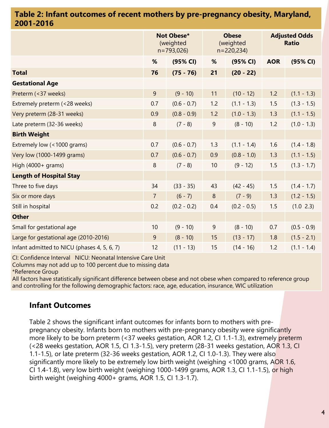#### **Table 2: Infant outcomes of recent mothers by pre-pregnancy obesity, Maryland, 2001-2016**

|                                             | Not Obese*<br>(weighted<br>$n = 793,026$ |               | <b>Obese</b><br>(weighted<br>$n = 220,234$ |               | <b>Adjusted Odds</b><br><b>Ratio</b> |               |
|---------------------------------------------|------------------------------------------|---------------|--------------------------------------------|---------------|--------------------------------------|---------------|
|                                             | %                                        | (95% CI)      | %                                          | (95% CI)      | <b>AOR</b>                           | (95% CI)      |
| <b>Total</b>                                | 76                                       | $(75 - 76)$   | 21                                         | $(20 - 22)$   |                                      |               |
| <b>Gestational Age</b>                      |                                          |               |                                            |               |                                      |               |
| Preterm (<37 weeks)                         | 9                                        | $(9 - 10)$    | 11                                         | $(10 - 12)$   | 1.2                                  | $(1.1 - 1.3)$ |
| Extremely preterm (<28 weeks)               | 0.7                                      | $(0.6 - 0.7)$ | 1.2                                        | $(1.1 - 1.3)$ | 1.5                                  | $(1.3 - 1.5)$ |
| Very preterm (28-31 weeks)                  | 0.9                                      | $(0.8 - 0.9)$ | 1.2                                        | $(1.0 - 1.3)$ | 1.3                                  | $(1.1 - 1.5)$ |
| Late preterm (32-36 weeks)                  | $\,8\,$                                  | $(7 - 8)$     | $\mathsf 9$                                | $(8 - 10)$    | 1.2                                  | $(1.0 - 1.3)$ |
| <b>Birth Weight</b>                         |                                          |               |                                            |               |                                      |               |
| Extremely low (<1000 grams)                 | 0.7                                      | $(0.6 - 0.7)$ | 1.3                                        | $(1.1 - 1.4)$ | 1.6                                  | $(1.4 - 1.8)$ |
| Very low (1000-1499 grams)                  | 0.7                                      | $(0.6 - 0.7)$ | 0.9                                        | $(0.8 - 1.0)$ | 1.3                                  | $(1.1 - 1.5)$ |
| High (4000+ grams)                          | 8                                        | $(7 - 8)$     | 10                                         | $(9 - 12)$    | 1.5                                  | $(1.3 - 1.7)$ |
| <b>Length of Hospital Stay</b>              |                                          |               |                                            |               |                                      |               |
| Three to five days                          | 34                                       | $(33 - 35)$   | 43                                         | $(42 - 45)$   | 1.5                                  | $(1.4 - 1.7)$ |
| Six or more days                            | $\overline{7}$                           | $(6 - 7)$     | $\boldsymbol{8}$                           | $(7 - 9)$     | 1.3                                  | $(1.2 - 1.5)$ |
| Still in hospital                           | 0.2                                      | $(0.2 - 0.2)$ | 0.4                                        | $(0.2 - 0.5)$ | 1.5                                  | (1.0 2.3)     |
| <b>Other</b>                                |                                          |               |                                            |               |                                      |               |
| Small for gestational age                   | 10                                       | $(9 - 10)$    | $\overline{9}$                             | $(8 - 10)$    | 0.7                                  | $(0.5 - 0.9)$ |
| Large for gestational age (2010-2016)       | 9                                        | $(8 - 10)$    | 15                                         | $(13 - 17)$   | 1.8                                  | $(1.5 - 2.1)$ |
| Infant admitted to NICU (phases 4, 5, 6, 7) | 12                                       | $(11 - 13)$   | 15                                         | $(14 - 16)$   | 1.2                                  | $(1.1 - 1.4)$ |

CI: Confidence Interval NICU: Neonatal Intensive Care Unit

Columns may not add up to 100 percent due to missing data

\*Reference Group

All factors have statistically significant difference between obese and not obese when compared to reference group and controlling for the following demographic factors: race, age, education, insurance, WIC utilization

#### **Infant Outcomes**

Table 2 shows the significant infant outcomes for infants born to mothers with prepregnancy obesity. Infants born to mothers with pre-pregnancy obesity were significantly more likely to be born preterm (<37 weeks gestation, AOR 1.2, CI 1.1-1.3), extremely preterm (<28 weeks gestation, AOR 1.5, CI 1.3-1.5), very preterm (28-31 weeks gestation, AOR 1.3, CI 1.1-1.5), or late preterm (32-36 weeks gestation, AOR 1.2, CI 1.0-1.3). They were also significantly more likely to be extremely low birth weight (weighing <1000 grams, AOR 1.6, CI 1.4-1.8), very low birth weight (weighing 1000-1499 grams, AOR 1.3, CI 1.1-1.5), or high birth weight (weighing 4000+ grams, AOR 1.5, CI 1.3-1.7).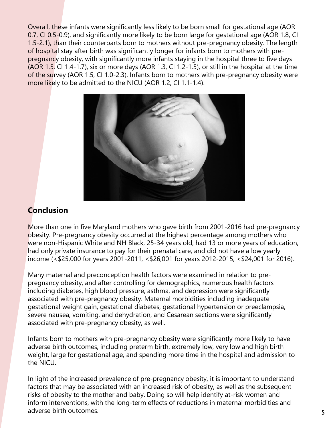Overall, these infants were significantly less likely to be born small for gestational age (AOR 0.7, CI 0.5-0.9), and significantly more likely to be born large for gestational age (AOR 1.8, CI 1.5-2.1), than their counterparts born to mothers without pre-pregnancy obesity. The length of hospital stay after birth was significantly longer for infants born to mothers with prepregnancy obesity, with significantly more infants staying in the hospital three to five days (AOR 1.5, CI 1.4-1.7), six or more days (AOR 1.3, CI 1.2-1.5), or still in the hospital at the time of the survey (AOR 1.5, CI 1.0-2.3). Infants born to mothers with pre-pregnancy obesity were more likely to be admitted to the NICU (AOR 1.2, CI 1.1-1.4).



### **Conclusion**

More than one in five Maryland mothers who gave birth from 2001-2016 had pre-pregnancy obesity. Pre-pregnancy obesity occurred at the highest percentage among mothers who were non-Hispanic White and NH Black, 25-34 years old, had 13 or more years of education, had only private insurance to pay for their prenatal care, and did not have a low yearly income (<\$25,000 for years 2001-2011, <\$26,001 for years 2012-2015, <\$24,001 for 2016).

Many maternal and preconception health factors were examined in relation to prepregnancy obesity, and after controlling for demographics, numerous health factors including diabetes, high blood pressure, asthma, and depression were significantly associated with pre-pregnancy obesity. Maternal morbidities including inadequate gestational weight gain, gestational diabetes, gestational hypertension or preeclampsia, severe nausea, vomiting, and dehydration, and Cesarean sections were significantly associated with pre-pregnancy obesity, as well.

Infants born to mothers with pre-pregnancy obesity were significantly more likely to have adverse birth outcomes, including preterm birth, extremely low, very low and high birth weight, large for gestational age, and spending more time in the hospital and admission to the NICU.

In light of the increased prevalence of pre-pregnancy obesity, it is important to understand factors that may be associated with an increased risk of obesity, as well as the subsequent risks of obesity to the mother and baby. Doing so will help identify at-risk women and inform interventions, with the long-term effects of reductions in maternal morbidities and adverse birth outcomes.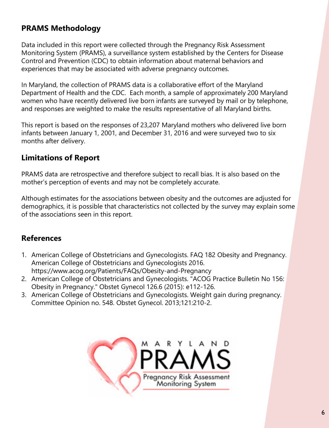# **PRAMS Methodology**

Data included in this report were collected through the Pregnancy Risk Assessment Monitoring System (PRAMS), a surveillance system established by the Centers for Disease Control and Prevention (CDC) to obtain information about maternal behaviors and experiences that may be associated with adverse pregnancy outcomes.

In Maryland, the collection of PRAMS data is a collaborative effort of the Maryland Department of Health and the CDC. Each month, a sample of approximately 200 Maryland women who have recently delivered live born infants are surveyed by mail or by telephone, and responses are weighted to make the results representative of all Maryland births.

This report is based on the responses of 23,207 Maryland mothers who delivered live born infants between January 1, 2001, and December 31, 2016 and were surveyed two to six months after delivery.

## **Limitations of Report**

PRAMS data are retrospective and therefore subject to recall bias. It is also based on the mother's perception of events and may not be completely accurate.

Although estimates for the associations between obesity and the outcomes are adjusted for demographics, it is possible that characteristics not collected by the survey may explain some of the associations seen in this report.

## **References**

- 1. American College of Obstetricians and Gynecologists. FAQ 182 Obesity and Pregnancy. American College of Obstetricians and Gynecologists 2016. https://www.acog.org/Patients/FAQs/Obesity-and-Pregnancy
- 2. American College of Obstetricians and Gynecologists. "ACOG Practice Bulletin No 156: Obesity in Pregnancy." Obstet Gynecol 126.6 (2015): e112-126.
- 3. American College of Obstetricians and Gynecologists. Weight gain during pregnancy. Committee Opinion no. 548. Obstet Gynecol. 2013;121:210-2.